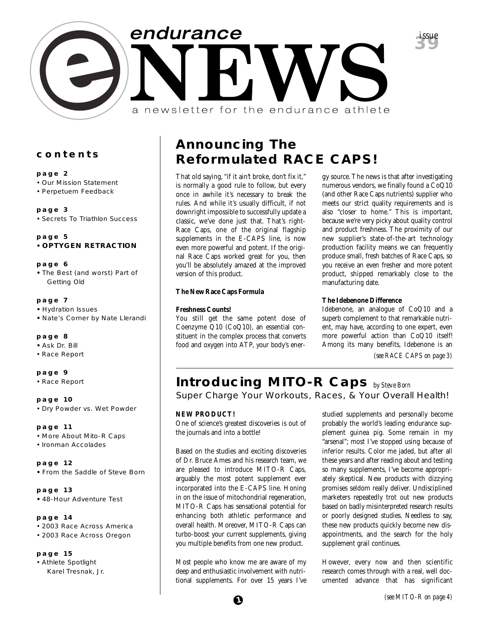

## **contents**

## **page 2**

- Our Mission Statement
- Perpetuem Feedback

## **page 3**

• Secrets To Triathlon Success

## **page 5 • OPTYGEN RETRACTION**

## **page 6**

**•** The Best (and worst) Part of Getting Old

## **page 7**

- Hydration Issues
- Nate's Corner by Nate Llerandi

## **page 8**

- Ask Dr. Bill
- Race Report

## **page 9**

• Race Report

**page 10** • Dry Powder vs. Wet Powder

**page 11** • More About Mito-R Caps

• Ironman Accolades

## **page 12 •** From the Saddle of Steve Born

**page 13 •** 48-Hour Adventure Test

## **page 14**

- 2003 Race Across America
- 2003 Race Across Oregon

## **page 15**

• Athlete Spotlight Karel Tresnak, Jr.

# **Announcing The Reformulated RACE CAPS!**

That old saying, "if it ain't broke, don't fix it," is normally a good rule to follow, but every once in awhile it's necessary to break the rules. And while it's usually difficult, if not downright impossible to successfully update a classic, we've done just that. That's right-Race Caps, one of the original flagship supplements in the E-CAPS line, is now even more powerful and potent. If the original Race Caps worked great for you, then you'll be absolutely amazed at the improved version of this product.

## **The New Race Caps Formula**

## **Freshness Counts!**

You still get the same potent dose of Coenzyme Q10 (CoQ10), an essential constituent in the complex process that converts food and oxygen into ATP, your body's energy source. The news is that after investigating numerous vendors, we finally found a CoQ10 (and other Race Caps nutrients) supplier who meets our strict quality requirements and is also "closer to home." This is important, because we're very picky about quality control and product freshness. The proximity of our new supplier's state-of-the-art technology production facility means we can frequently produce small, fresh batches of Race Caps, so you receive an even fresher and more potent product, shipped remarkably close to the manufacturing date.

## **The Idebenone Difference**

Idebenone, an analogue of CoQ10 and a superb complement to that remarkable nutrient, may have, according to one expert, even more powerful action than CoQ10 itself! Among its many benefits, Idebenone is an

*(see RACE CAPS on page 3)*

# **Introducing MITO-R Caps** *by Steve Born*

Super Charge Your Workouts, Races, & Your Overall Health!

## **NEW PRODUCT!**

One of science's greatest discoveries is out of the journals and into a bottle!

Based on the studies and exciting discoveries of Dr. Bruce Ames and his research team, we are pleased to introduce MITO-R Caps, arguably the most potent supplement ever incorporated into the E-CAPS line. Honing in on the issue of mitochondrial regeneration, MITO-R Caps has sensational potential for enhancing both athletic performance and overall health. Moreover, MITO-R Caps can turbo-boost your current supplements, giving you multiple benefits from one new product.

Most people who know me are aware of my deep and enthusiastic involvement with nutritional supplements. For over 15 years I've studied supplements and personally become probably the world's leading endurance supplement guinea pig. Some remain in my "arsenal"; most I've stopped using because of inferior results. Color me jaded, but after all these years and after reading about and testing so many supplements, I've become appropriately skeptical. New products with dizzying promises seldom really deliver. Undisciplined marketers repeatedly trot out new products based on badly misinterpreted research results or poorly designed studies. Needless to say, these new products quickly become new disappointments, and the search for the holy supplement grail continues.

However, every now and then scientific research comes through with a real, well documented advance that has significant

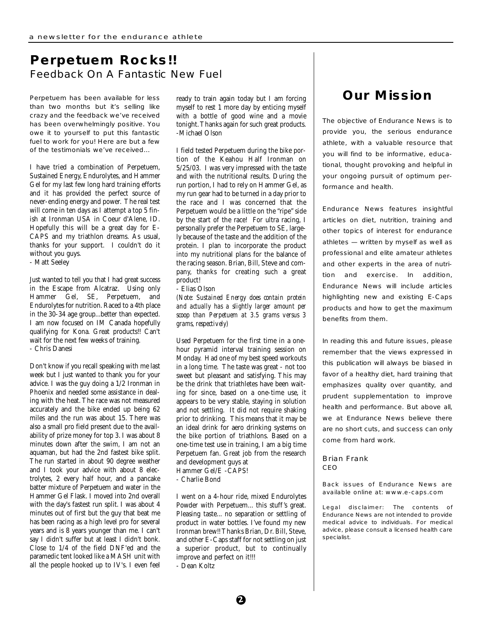# **Perpetuem Rocks!!** Feedback On A Fantastic New Fuel

Perpetuem has been available for less than two months but it's selling like crazy and the feedback we've received has been overwhelmingly positive. You owe it to yourself to put this fantastic fuel to work for you! Here are but a few of the testimonials we've received...

I have tried a combination of Perpetuem, Sustained Energy, Endurolytes, and Hammer Gel for my last few long hard training efforts and it has provided the perfect source of never-ending energy and power. The real test will come in ten days as I attempt a top 5 finish at Ironman USA in Coeur d'Alene, ID. Hopefully this will be a great day for E-CAPS and my triathlon dreams. As usual, thanks for your support. I couldn't do it without you guys.

- Matt Seeley

Just wanted to tell you that I had great success in the Escape from Alcatraz. Using only Hammer Gel, SE, Perpetuem, and Endurolytes for nutrition. Raced to a 4th place in the 30-34 age group...better than expected. I am now focused on IM Canada hopefully qualifying for Kona. Great products!! Can't wait for the next few weeks of training. - Chris Danesi

Don't know if you recall speaking with me last week but I just wanted to thank you for your advice. I was the guy doing a 1/2 Ironman in Phoenix and needed some assistance in dealing with the heat. The race was not measured accurately and the bike ended up being 62 miles and the run was about 15. There was also a small pro field present due to the availability of prize money for top 3. I was about 8 minutes down after the swim, I am not an aquaman, but had the 2nd fastest bike split. The run started in about 90 degree weather and I took your advice with about 8 electrolytes, 2 every half hour, and a pancake batter mixture of Perpetuem and water in the Hammer Gel Flask. I moved into 2nd overall with the day's fastest run split. I was about 4 minutes out of first but the guy that beat me has been racing as a high level pro for several years and is 8 years younger than me. I can't say I didn't suffer but at least I didn't bonk. Close to 1/4 of the field DNF'ed and the paramedic tent looked like a MASH unit with all the people hooked up to IV's. I even feel

ready to train again today but I am forcing myself to rest 1 more day by enticing myself with a bottle of good wine and a movie tonight. Thanks again for such great products. -Michael Olson

I field tested Perpetuem during the bike portion of the Keahou Half Ironman on 5/25/03. I was very impressed with the taste and with the nutritional results. During the run portion, I had to rely on Hammer Gel, as my run gear had to be turned in a day prior to the race and I was concerned that the Perpetuem would be a little on the "ripe" side by the start of the race! For ultra racing, I personally prefer the Perpetuem to SE, largely because of the taste and the addition of the protein. I plan to incorporate the product into my nutritional plans for the balance of the racing season. Brian, Bill, Steve and company, thanks for creating such a great product!

- Elias Olson

*(Note: Sustained Energy does contain protein and actually has a slightly larger amount per scoop than Perpetuem at 3.5 grams versus 3 grams, respectively)*

Used Perpetuem for the first time in a onehour pyramid interval training session on Monday. Had one of my best speed workouts in a long time. The taste was great - not too sweet but pleasant and satisfying. This may be the drink that triathletes have been waiting for since, based on a one-time use, it appears to be very stable, staying in solution and not settling. It did not require shaking prior to drinking. This means that it may be an ideal drink for aero drinking systems on the bike portion of triathlons. Based on a one-time test use in training, I am a big time Perpetuem fan. Great job from the research and development guys at Hammer Gel/E -CAPS!

- Charlie Bond

I went on a 4-hour ride, mixed Endurolytes Powder with Perpetuem... this stuff 's great. Pleasing taste... no separation or settling of product in water bottles. I've found my new Ironman brew!! Thanks Brian, Dr. Bill, Steve, and other E-Caps staff for not settling on just a superior product, but to continually improve and perfect on it!!! - Dean Koltz

# **Our Mission**

The objective of Endurance News is to provide you, the serious endurance athlete, with a valuable resource that you will find to be informative, educational, thought provoking and helpful in your ongoing pursuit of optimum performance and health.

Endurance News features insightful articles on diet, nutrition, training and other topics of interest for endurance athletes — written by myself as well as professional and elite amateur athletes and other experts in the area of nutrition and exercise. In addition, Endurance News will include articles highlighting new and existing E-Caps products and how to get the maximum benefits from them.

In reading this and future issues, please remember that the views expressed in this publication will always be biased in favor of a healthy diet, hard training that emphasizes quality over quantity, and prudent supplementation to improve health and performance. But above all, we at Endurance News believe there are no short cuts, and success can only come from hard work.

## Brian Frank CEO

Back issues of Endurance News are available online at: www.e-caps.com

Legal disclaimer: The contents of Endurance News are not intended to provide medical advice to individuals. For medical advice, please consult a licensed health care specialist.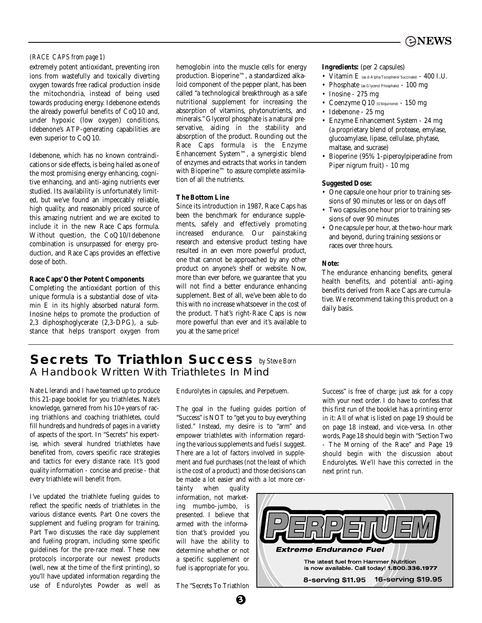

## *(RACE CAPS from page 1)*

extremely potent antioxidant, preventing iron ions from wastefully and toxically diverting oxygen towards free radical production inside the mitochondria, instead of being used towards producing energy. Idebenone extends the already powerful benefits of CoQ10 and, under hypoxic (low oxygen) conditions, Idebenone's ATP-generating capabilities are even superior to CoQ10.

Idebenone, which has no known contraindications or side effects, is being hailed as one of the most promising energy enhancing, cognitive enhancing, and anti-aging nutrients ever studied. Its availability is unfortunately limited, but we've found an impeccably reliable, high quality, and reasonably priced source of this amazing nutrient and we are excited to include it in the new Race Caps formula. Without question, the CoQ10/Idebenone combination is unsurpassed for energy production, and Race Caps provides an effective dose of both.

## **Race Caps' Other Potent Components**

Completing the antioxidant portion of this unique formula is a substantial dose of vitamin E in its highly absorbed natural form. Inosine helps to promote the production of 2,3 diphosphoglycerate (2,3-DPG), a substance that helps transport oxygen from

hemoglobin into the muscle cells for energy production. Bioperine™, a standardized alkaloid component of the pepper plant, has been called "a technological breakthrough as a safe nutritional supplement for increasing the absorption of vitamins, phytonutrients, and minerals." Glycerol phosphate is a natural preservative, aiding in the stability and absorption of the product. Rounding out the Race Caps formula is the Enzyme Enhancement System™, a synergistic blend of enzymes and extracts that works in tandem with Bioperine™ to assure complete assimilation of all the nutrients.

## **The Bottom Line**

Since its introduction in 1987, Race Caps has been the benchmark for endurance supplements, safely and effectively promoting increased endurance. Our painstaking research and extensive product testing have resulted in an even more powerful product, one that cannot be approached by any other product on anyone's shelf or website. Now, more than ever before, we guarantee that you will not find a better endurance enhancing supplement. Best of all, we've been able to do this with no increase whatsoever in the cost of the product. That's right-Race Caps is now more powerful than ever and it's available to you at the same price!

## **Ingredients:** (per 2 capsules)

- Vitamin E (as d-Alpha Tocopherol Succinate)  $400$  I.U.
- Phosphate (as Glycerol Phosphate) 100 mg
- Inosine 275 mg
- Coenzyme Q10 (Ubiquinone) 150 mg
- Idebenone 25 mg
- Enzyme Enhancement System 24 mg (a proprietary blend of protease, emylase, glucoamylase, lipase, cellulase, phytase, maltase, and sucrase)
- Bioperine (95% 1-piperoylpiperadine from Piper nigrum fruit) - 10 mg

## **Suggested Dose:**

- One capsule one hour prior to training sessions of 90 minutes or less or on days off
- Two capsules one hour prior to training sessions of over 90 minutes
- One capsule per hour, at the two-hour mark and beyond, during training sessions or races over three hours.

### **Note:**

The endurance enhancing benefits, general health benefits, and potential anti-aging benefits derived from Race Caps are cumulative. We recommend taking this product on a daily basis.

## **Secrets To Triathlon Success** *by Steve Born*A Handbook Written With Triathletes In Mind

Nate Llerandi and I have teamed up to produce this 21-page booklet for you triathletes. Nate's knowledge, garnered from his 10+ years of racing triathlons and coaching triathletes, could fill hundreds and hundreds of pages in a variety of aspects of the sport. In "Secrets" his expertise, which several hundred triathletes have benefited from, covers specific race strategies and tactics for every distance race. It's good quality information - concise and precise - that every triathlete will benefit from.

I've updated the triathlete fueling guides to reflect the specific needs of triathletes in the various distance events. Part One covers the supplement and fueling program for training, Part Two discusses the race day supplement and fueling program, including some specific guidelines for the pre-race meal. These new protocols incorporate our newest products (well, new at the time of the first printing), so you'll have updated information regarding the use of Endurolytes Powder as well as Endurolytes in capsules, and Perpetuem.

The goal in the fueling guides portion of "Success" is NOT to "get you to buy everything listed." Instead, my desire is to "arm" and empower triathletes with information regarding the various supplements and fuels I suggest. There are a lot of factors involved in supplement and fuel purchases (not the least of which is the cost of a product) and those decisions can be made a lot easier and with a lot more cer-

tainty when quality information, not marketing mumbo-jumbo, is presented. I believe that armed with the information that's provided you will have the ability to determine whether or not a specific supplement or fuel is appropriate for you.

The "Secrets To Triathlon

**3**

Success" is free of charge; just ask for a copy with your next order. I do have to confess that this first run of the booklet has a printing error in it: All of what is listed on page 19 should be on page 18 instead, and vice-versa. In other words, Page 18 should begin with "Section Two - The Morning of the Race" and Page 19 should begin with the discussion about Endurolytes. We'll have this corrected in the next print run.

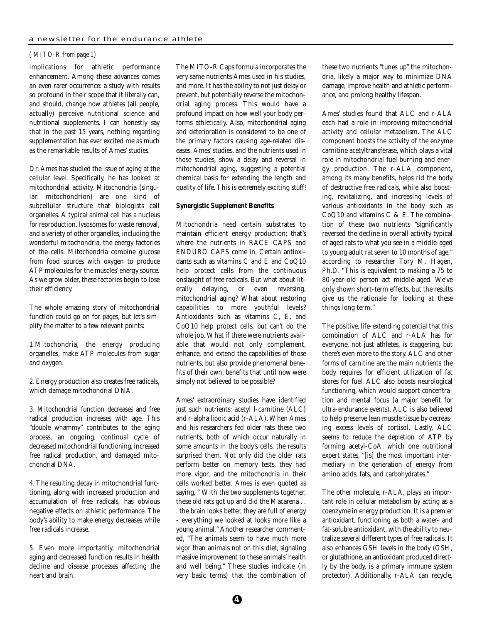## *( MITO-R from page 1)*

implications for athletic performance enhancement. Among these advances comes an even rarer occurrence: a study with results so profound in their scope that it literally can, and should, change how athletes (all people, actually) perceive nutritional science and nutritional supplements. I can honestly say that in the past 15 years, nothing regarding supplementation has ever excited me as much as the remarkable results of Ames' studies.

Dr. Ames has studied the issue of aging at the cellular level. Specifically, he has looked at mitochondrial activity. Mitochondria (singular: mitochondrion) are one kind of subcellular structure that biologists call organelles. A typical animal cell has a nucleus for reproduction, lysosomes for waste removal, and a variety of other organelles, including the wonderful mitochondria, the energy factories of the cells. Mitochondria combine glucose from food sources with oxygen to produce ATP molecules for the muscles' energy source. As we grow older, these factories begin to lose their efficiency.

The whole amazing story of mitochondrial function could go on for pages, but let's simplify the matter to a few relevant points:

1.Mitochondria, the energy producing organelles, make ATP molecules from sugar and oxygen.

2. Energy production also creates free radicals, which damage mitochondrial DNA.

3. Mitochondrial function decreases and free radical production increases with age. This "double whammy" contributes to the aging process, an ongoing, continual cycle of decreased mitochondrial functioning, increased free radical production, and damaged mitochondrial DNA.

4. The resulting decay in mitochondrial functioning, along with increased production and accumulation of free radicals, has obvious negative effects on athletic performance. The body's ability to make energy decreases while free radicals increase.

5. Even more importantly, mitochondrial aging and decreased function results in health decline and disease processes affecting the heart and brain.

The MITO-R Caps formula incorporates the very same nutrients Ames used in his studies, and more. It has the ability to not just delay or prevent, but potentially reverse the mitochondrial aging process. This would have a profound impact on how well your body performs athletically. Also, mitochondrial aging and deterioration is considered to be one of the primary factors causing age-related diseases. Ames' studies, and the nutrients used in those studies, show a delay and reversal in mitochondrial aging, suggesting a potential chemical basis for extending the length and quality of life. This is extremely exciting stuff!

## **Synergistic Supplement Benefits**

Mitochondria need certain substrates to maintain efficient energy production; that's where the nutrients in RACE CAPS and ENDURO CAPS come in. Certain antioxidants such as vitamins C and E and CoQ10 help protect cells from the continuous onslaught of free radicals. But what about literally delaying, or even reversing, mitochondrial aging? What about restoring capabilities to more youthful levels? Antioxidants such as vitamins C, E, and CoQ10 help protect cells, but can't do the whole job. What if there were nutrients available that would not only complement, enhance, and extend the capabilities of those nutrients, but also provide phenomenal benefits of their own, benefits that until now were simply not believed to be possible?

Ames' extraordinary studies have identified just such nutrients: acetyl l-carnitine (ALC) and r-alpha lipoic acid (r-ALA). When Ames and his researchers fed older rats these two nutrients, both of which occur naturally in some amounts in the body's cells, the results surprised them. Not only did the older rats perform better on memory tests, they had more vigor, and the mitochondria in their cells worked better. Ames is even quoted as saying, " With the two supplements together, these old rats got up and did the Macarena . . . the brain looks better, they are full of energy - everything we looked at looks more like a young animal." Another researcher commented, "The animals seem to have much more vigor than animals not on this diet, signaling massive improvement to these animals' health and well being." These studies indicate (in very basic terms) that the combination of these two nutrients "tunes up" the mitochondria, likely a major way to minimize DNA damage, improve health and athletic performance, and prolong healthy lifespan.

Ames' studies found that ALC and r-ALA each had a role in improving mitochondrial activity and cellular metabolism. The ALC component boosts the activity of the enzyme carnitine acetyltransferase, which plays a vital role in mitochondrial fuel burning and energy production. The r-ALA component, among its many benefits, helps rid the body of destructive free radicals, while also boosting, revitalizing, and increasing levels of various antioxidants in the body such as CoQ10 and vitamins C & E. The combination of these two nutrients "significantly reversed the decline in overall activity typical of aged rats to what you see in a middle-aged to young adult rat seven to 10 months of age," according to researcher Tory M. Hagen, Ph.D. "This is equivalent to making a 75 to 80-year-old person act middle-aged. We've only shown short-term effects, but the results give us the rationale for looking at these things long term."

The positive, life-extending potential that this combination of ALC and r-ALA has for everyone, not just athletes, is staggering, but there's even more to the story. ALC and other forms of carnitine are the main nutrients the body requires for efficient utilization of fat stores for fuel. ALC also boosts neurological functioning, which would support concentration and mental focus (a major benefit for ultra-endurance events). ALC is also believed to help preserve lean muscle tissue by decreasing excess levels of cortisol. Lastly, ALC seems to reduce the depletion of ATP by forming acetyl-CoA, which one nutritional expert states, "[is] the most important intermediary in the generation of energy from amino acids, fats, and carbohydrates."

The other molecule, r-ALA, plays an important role in cellular metabolism by acting as a coenzyme in energy production. It is a premier antioxidant, functioning as both a water- and fat-soluble antioxidant, with the ability to neutralize several different types of free radicals. It also enhances GSH levels in the body (GSH, or glutathione, an antioxidant produced directly by the body, is a primary immune system protector). Additionally, r-ALA can recycle,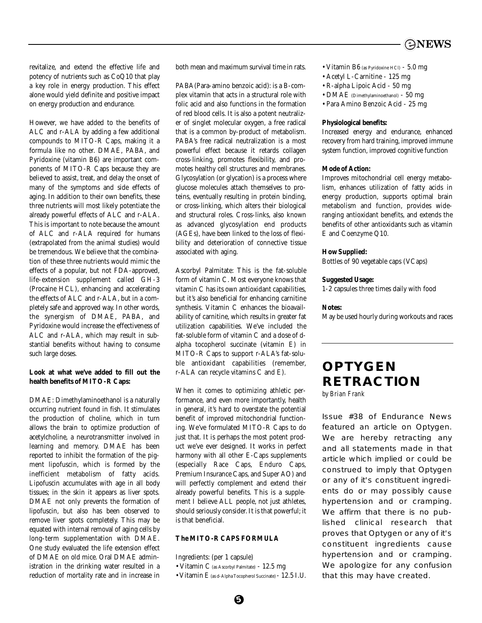## **ONEWS**

revitalize, and extend the effective life and potency of nutrients such as CoQ10 that play a key role in energy production. This effect alone would yield definite and positive impact on energy production and endurance.

However, we have added to the benefits of ALC and r-ALA by adding a few additional compounds to MITO-R Caps, making it a formula like no other. DMAE, PABA, and Pyridoxine (vitamin B6) are important components of MITO-R Caps because they are believed to assist, treat, and delay the onset of many of the symptoms and side effects of aging. In addition to their own benefits, these three nutrients will most likely potentiate the already powerful effects of ALC and r-ALA. This is important to note because the amount of ALC and r-ALA required for humans (extrapolated from the animal studies) would be tremendous. We believe that the combination of these three nutrients would mimic the effects of a popular, but not FDA-approved, life-extension supplement called GH-3 (Procaine HCL), enhancing and accelerating the effects of ALC and r-ALA, but in a completely safe and approved way. In other words, the synergism of DMAE, PABA, and Pyridoxine would increase the effectiveness of ALC and r-ALA, which may result in substantial benefits without having to consume such large doses.

## **Look at what we've added to fill out the health benefits of MITO-R Caps:**

DMAE: Dimethylaminoethanol is a naturally occurring nutrient found in fish. It stimulates the production of choline, which in turn allows the brain to optimize production of acetylcholine, a neurotransmitter involved in learning and memory. DMAE has been reported to inhibit the formation of the pigment lipofuscin, which is formed by the inefficient metabolism of fatty acids. Lipofuscin accumulates with age in all body tissues; in the skin it appears as liver spots. DMAE not only prevents the formation of lipofuscin, but also has been observed to remove liver spots completely. This may be equated with internal removal of aging cells by long-term supplementation with DMAE. One study evaluated the life extension effect of DMAE on old mice. Oral DMAE administration in the drinking water resulted in a reduction of mortality rate and in increase in

both mean and maximum survival time in rats.

PABA(Para-amino benzoic acid): is a B-complex vitamin that acts in a structural role with folic acid and also functions in the formation of red blood cells. It is also a potent neutralizer of singlet molecular oxygen, a free radical that is a common by-product of metabolism. PABA's free radical neutralization is a most powerful effect because it retards collagen cross-linking, promotes flexibility, and promotes healthy cell structures and membranes. Glycosylation (or glycation) is a process where glucose molecules attach themselves to proteins, eventually resulting in protein binding, or cross-linking, which alters their biological and structural roles. Cross-links, also known as advanced glycosylation end products (AGEs), have been linked to the loss of flexibility and deterioration of connective tissue associated with aging.

Ascorbyl Palmitate: This is the fat-soluble form of vitamin C. Most everyone knows that vitamin C has its own antioxidant capabilities, but it's also beneficial for enhancing carnitine synthesis. Vitamin C enhances the bioavailability of carnitine, which results in greater fat utilization capabilities. We've included the fat-soluble form of vitamin C and a dose of dalpha tocopherol succinate (vitamin E) in MITO-R Caps to support r-ALA's fat-soluble antioxidant capabilities (remember, r-ALA can recycle vitamins C and E).

When it comes to optimizing athletic performance, and even more importantly, health in general, it's hard to overstate the potential benefit of improved mitochondrial functioning. We've formulated MITO-R Caps to do just that. It is perhaps the most potent product we've ever designed. It works in perfect harmony with all other E-Caps supplements (especially Race Caps, Enduro Caps, Premium Insurance Caps, and Super AO) and will perfectly complement and extend their already powerful benefits. This is a supplement I believe ALL people, not just athletes, should seriously consider. It is that powerful; it is that beneficial.

## **The MITO-R CAPS FORMULA**

Ingredients: (per 1 capsule)

- Vitamin C (as Ascorbyl Palmitate) 12.5 mg
- Vitamin E(as d-Alpha Tocopherol Succinate) 12.5 I.U.
- Vitamin B6 (as Pyridoxine HCl) 5.0 mg
- Acetyl L-Carnitine 125 mg
- R-alpha Lipoic Acid 50 mg
- DMAE (Dimethylaminoethanol) 50 mg
- Para Amino Benzoic Acid 25 mg

#### **Physiological benefits:**

Increased energy and endurance, enhanced recovery from hard training, improved immune system function, improved cognitive function

#### **Mode of Action:**

Improves mitochondrial cell energy metabolism, enhances utilization of fatty acids in energy production, supports optimal brain metabolism and function, provides wideranging antioxidant benefits, and extends the benefits of other antioxidants such as vitamin E and Coenzyme Q10.

#### **How Supplied:**

Bottles of 90 vegetable caps (VCaps)

#### **Suggested Usage:**

1-2 capsules three times daily with food

## **Notes:**

May be used hourly during workouts and races

# **OPTYGEN RETRACTION**

*by Brian Frank*

Issue #38 of Endurance News featured an article on Optygen. We are hereby retracting any and all statements made in that article which implied or could be construed to imply that Optygen or any of it's constituent ingredients do or may possibly cause hypertension and or cramping. We affirm that there is no published clinical research that proves that Optygen or any of it's constituent ingredients cause hypertension and or cramping. We apologize for any confusion that this may have created.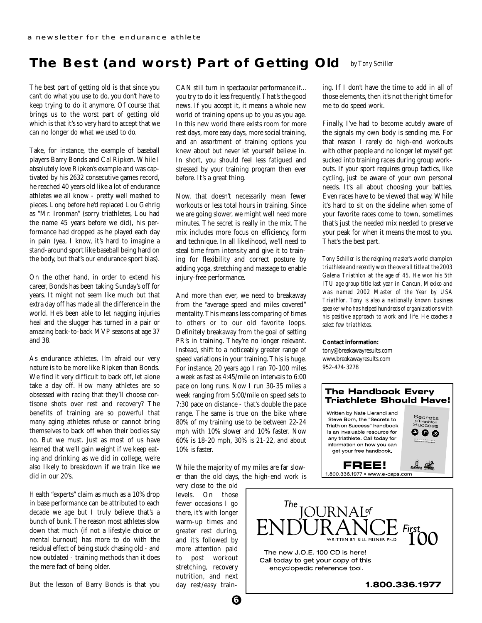#### **The Best (and worst) Part of Getting Old** *by Tony Schiller*

The best part of getting old is that since you can't do what you use to do, you don't have to keep trying to do it anymore. Of course that brings us to the worst part of getting old which is that it's so very hard to accept that we can no longer do what we used to do.

Take, for instance, the example of baseball players Barry Bonds and Cal Ripken. While I absolutely love Ripken's example and was captivated by his 2632 consecutive games record, he reached 40 years old like a lot of endurance athletes we all know - pretty well mashed to pieces. Long before he'd replaced Lou Gehrig as "Mr. Ironman" (sorry triathletes, Lou had the name 45 years before we did), his performance had dropped as he played each day in pain (yea, I know, it's hard to imagine a stand-around sport like baseball being hard on the body, but that's our endurance sport bias).

On the other hand, in order to extend his career, Bonds has been taking Sunday's off for years. It might not seem like much but that extra day off has made all the difference in the world. He's been able to let nagging injuries heal and the slugger has turned in a pair or amazing back-to-back MVP seasons at age 37 and 38.

As endurance athletes, I'm afraid our very nature is to be more like Ripken than Bonds. We find it very difficult to back off, let alone take a day off. How many athletes are so obsessed with racing that they'll choose cortisone shots over rest and recovery? The benefits of training are so powerful that many aging athletes refuse or cannot bring themselves to back off when their bodies say no. But we must. Just as most of us have learned that we'll gain weight if we keep eating and drinking as we did in college, we're also likely to breakdown if we train like we did in our 20's.

Health "experts" claim as much as a 10% drop in base performance can be attributed to each decade we age but I truly believe that's a bunch of bunk. The reason most athletes slow down that much (if not a lifestyle choice or mental burnout) has more to do with the residual effect of being stuck chasing old - and now outdated - training methods than it does the mere fact of being older.

But the lesson of Barry Bonds is that you

CAN still turn in spectacular performance if... you try to do it less frequently. That's the good news. If you accept it, it means a whole new world of training opens up to you as you age. In this new world there exists room for more rest days, more easy days, more social training, and an assortment of training options you knew about but never let yourself believe in. In short, you should feel less fatigued and stressed by your training program then ever before. It's a great thing.

Now, that doesn't necessarily mean fewer workouts or less total hours in training. Since we are going slower, we might well need more minutes. The secret is really in the mix. The mix includes more focus on efficiency, form and technique. In all likelihood, we'll need to steal time from intensity and give it to training for flexibility and correct posture by adding yoga, stretching and massage to enable injury-free performance.

And more than ever, we need to breakaway from the "average speed and miles covered" mentality. This means less comparing of times to others or to our old favorite loops. Definitely breakaway from the goal of setting PR's in training. They're no longer relevant. Instead, shift to a noticeably greater range of speed variations in your training. This is huge. For instance, 20 years ago I ran 70-100 miles a week as fast as 4:45/mile on intervals to 6:00 pace on long runs. Now I run 30-35 miles a week ranging from 5:00/mile on speed sets to 7:30 pace on distance - that's double the pace range. The same is true on the bike where 80% of my training use to be between 22-24 mph with 10% slower and 10% faster. Now 60% is 18-20 mph, 30% is 21-22, and about 10% is faster.

While the majority of my miles are far slower than the old days, the high-end work is

very close to the old levels. On those fewer occasions I go there, it's with longer warm-up times and greater rest during, and it's followed by more attention paid to post workout stretching, recovery nutrition, and next day rest/easy training. If I don't have the time to add in all of those elements, then it's not the right time for me to do speed work.

Finally, I've had to become acutely aware of the signals my own body is sending me. For that reason I rarely do high-end workouts with other people and no longer let myself get sucked into training races during group workouts. If your sport requires group tactics, like cycling, just be aware of your own personal needs. It's all about choosing your battles. Even races have to be viewed that way. While it's hard to sit on the sideline when some of your favorite races come to town, sometimes that's just the needed mix needed to preserve your peak for when it means the most to you. That's the best part.

*Tony Schiller is the reigning master's world champion triathlete and recently won the overall title at the 2003 Galena Triathlon at the age of 45. He won his 5th ITU age group title last year in Cancun, Mexico and was named 2002 Master of the Year by USA Triathlon. Tony is also a nationally known business speaker who has helped hundreds of organizations with his positive approach to work and life. He coaches a select few triathletes.*

#### **Contact information:**

tony@breakawayresults.com www.breakawayresults.com 952-474-3278

#### **The Handbook Every Triathlete Should Have!** Written by Nate Llerandi and Secrets Steve Born, the "Secrets to Success Triathlon Success" handbook is an invaluable resource for 9 Q Q any triathlete. Call today for information on how you can get your free handbook.  $\theta$   $\approx$ FREE! 1.800.336.1977 • www.e-caps.com

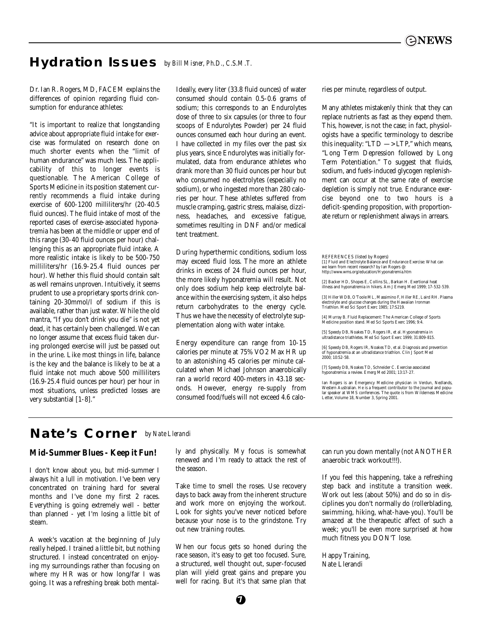# **Hydration Issues** *by Bill Misner, Ph.D., C.S.M.T.*

Dr. Ian R. Rogers, MD, FACEM explains the differences of opinion regarding fluid consumption for endurance athletes:

"It is important to realize that longstanding advice about appropriate fluid intake for exercise was formulated on research done on much shorter events when the "limit of human endurance" was much less. The applicability of this to longer events is questionable. The American College of Sports Medicine in its position statement currently recommends a fluid intake during exercise of 600-1200 milliliters/hr (20-40.5 fluid ounces). The fluid intake of most of the reported cases of exercise-associated hyponatremia has been at the middle or upper end of this range (30-40 fluid ounces per hour) challenging this as an appropriate fluid intake. A more realistic intake is likely to be 500-750 milliliters/hr (16.9-25.4 fluid ounces per hour). Whether this fluid should contain salt as well remains unproven. Intuitively, it seems prudent to use a proprietary sports drink containing 20-30mmol/l of sodium if this is available, rather than just water. While the old mantra, "If you don't drink you die" is not yet dead, it has certainly been challenged. We can no longer assume that excess fluid taken during prolonged exercise will just be passed out in the urine. Like most things in life, balance is the key and the balance is likely to be at a fluid intake not much above 500 milliliters (16.9-25.4 fluid ounces per hour) per hour in most situations, unless predicted losses are very substantial [1-8]."

Ideally, every liter (33.8 fluid ounces) of water consumed should contain 0.5-0.6 grams of sodium; this corresponds to an Endurolytes dose of three to six capsules (or three to four scoops of Endurolytes Powder) per 24 fluid ounces consumed each hour during an event. I have collected in my files over the past six plus years, since Endurolytes was initially formulated, data from endurance athletes who drank more than 30 fluid ounces per hour but who consumed no electrolytes (especially no sodium), or who ingested more than 280 calories per hour. These athletes suffered from muscle cramping, gastric stress, malaise, dizziness, headaches, and excessive fatigue, sometimes resulting in DNF and/or medical tent treatment.

During hyperthermic conditions, sodium loss may exceed fluid loss. The more an athlete drinks in excess of 24 fluid ounces per hour, the more likely hyponatremia will result. Not only does sodium help keep electrolyte balance within the exercising system, it also helps return carbohydrates to the energy cycle. Thus we have the necessity of electrolyte supplementation along with water intake.

Energy expenditure can range from 10-15 calories per minute at 75% VO2 Max HR up to an astonishing 45 calories per minute calculated when Michael Johnson anaerobically ran a world record 400-meters in 43.18 seconds. However, energy re-supply from consumed food/fuels will not exceed 4.6 calories per minute, regardless of output.

Many athletes mistakenly think that they can replace nutrients as fast as they expend them. This, however, is not the case; in fact, physiologists have a specific terminology to describe this inequality: "LTD  $\rightarrow$  LTP," which means, "Long Term Depression followed by Long Term Potentiation." To suggest that fluids, sodium, and fuels-induced glycogen replenishment can occur at the same rate of exercise depletion is simply not true. Endurance exercise beyond one to two hours is a deficit-spending proposition, with proportionate return or replenishment always in arrears.

REFERENCES (listed by Rogers) [1] Fluid and Electrolyte Balance and Endurance Exercise: What can we learn from recent research? by Ian Rogers @: http://www.wms.org/education/Hyponatremia.htm

[2] Backer HD, Shopes E, Collins SL, Barkan H. Exertional heat illness and hyponatremia in hikers. Am J Emerg Med 1999; 17-532-539.

[3] Hiller WDB, O'Toole ML, Massimino F, Hiller RE, Laird RH. Plasma electrolyte and glucose changes during the Hawaiian Ironman Triathlon. Med Sci Sport Exerc 1985; 17:S219.

[4] Murray B. Fluid Replacement: The American College of Sports Medicine position stand. Med Sci Sports Exerc 1996; 9:4.

[5] Speedy DB, Noakes TD, Rogers IR, et al. Hyponatren ultradistance triathletes. Med Sci Sport Exerc 1999; 31:809-815.

[6] Speedy DB, Rogers IR, Noakes TD, et al. Diagnosis and prevention of hyponatremia at an ultradistance triathlon. Clin J Sport Med 2000; 10:52-58.

[7] Speedy DB, Noakes TD, Schneider C. Exercise associated hyponatremia: a review. Emerg Med 2001; 13:17-27.

Ian Rogers is an Emergency Medicine physician in Verdun, Nedlands, Western Australian. He is a frequent contributor to the Journal and popu-lar speaker at WMS conferences. The quote is from Wilderness Medicine Letter, Volume 18, Number 3, Spring 2001.

## **Nate's Corner** *by Nate Llerandi*

## **Mid-Summer Blues - Keep it Fun!**

I don't know about you, but mid-summer I always hit a lull in motivation. I've been very concentrated on training hard for several months and I've done my first 2 races. Everything is going extremely well - better than planned - yet I'm losing a little bit of steam.

A week's vacation at the beginning of July really helped. I trained a little bit, but nothing structured. I instead concentrated on enjoying my surroundings rather than focusing on where my HR was or how long/far I was going. It was a refreshing break both mentally and physically. My focus is somewhat renewed and I'm ready to attack the rest of the season.

Take time to smell the roses. Use recovery days to back away from the inherent structure and work more on enjoying the workout. Look for sights you've never noticed before because your nose is to the grindstone. Try out new training routes.

When our focus gets so honed during the race season, it's easy to get too focused. Sure, a structured, well thought out, super-focused plan will yield great gains and prepare you well for racing. But it's that same plan that can run you down mentally (not ANOTHER anaerobic track workout!!!).

If you feel this happening, take a refreshing step back and institute a transition week. Work out less (about 50%) and do so in disciplines you don't normally do (rollerblading, swimming, hiking, what-have-you). You'll be amazed at the therapeutic affect of such a week; you'll be even more surprised at how much fitness you DON'T lose.

Happy Training, Nate Llerandi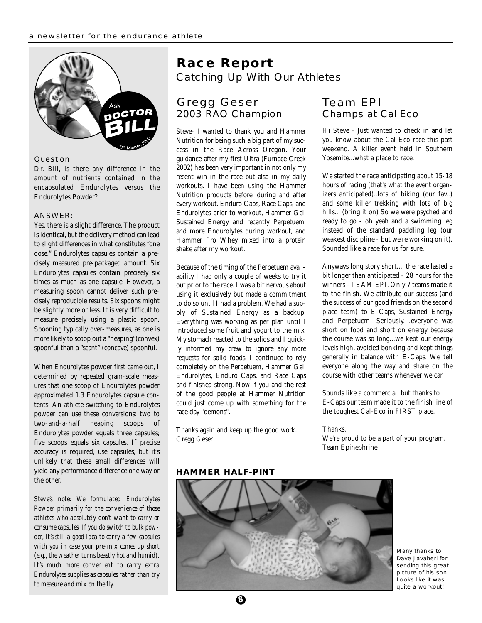

## Question:

Dr. Bill, is there any difference in the amount of nutrients contained in the encapsulated Endurolytes versus the Endurolytes Powder?

#### ANSWER:

Yes, there is a slight difference. The product is identical, but the delivery method can lead to slight differences in what constitutes "one dose." Endurolytes capsules contain a precisely measured pre-packaged amount. Six Endurolytes capsules contain precisely six times as much as one capsule. However, a measuring spoon cannot deliver such precisely reproducible results. Six spoons might be slightly more or less. It is very difficult to measure precisely using a plastic spoon. Spooning typically over-measures, as one is more likely to scoop out a "heaping"(convex) spoonful than a "scant" (concave) spoonful.

When Endurolytes powder first came out, I determined by repeated gram-scale measures that one scoop of Endurolytes powder approximated 1.3 Endurolytes capsule contents. An athlete switching to Endurolytes powder can use these conversions: two to two-and-a-half heaping scoops of Endurolytes powder equals three capsules; five scoops equals six capsules. If precise accuracy is required, use capsules, but it's unlikely that these small differences will yield any performance difference one way or the other.

*Steve's note: We formulated Endurolytes Powder primarily for the convenience of those athletes who absolutely don't want to carry or consume capsules. If you do switch to bulk powder, it's still a good idea to carry a few capsules with you in case your pre-mix comes up short (e.g., the weather turns beastly hot and humid). It's much more convenient to carry extra Endurolytes supplies as capsules rather than try to measure and mix on the fly.*

## **Race Report** Catching Up With Our Athletes

## Gregg Geser Team EPI 2003 RAO Champion Champs at Cal Eco

Steve- I wanted to thank you and Hammer Nutrition for being such a big part of my success in the Race Across Oregon. Your guidance after my first Ultra (Furnace Creek 2002) has been very important in not only my recent win in the race but also in my daily workouts. I have been using the Hammer Nutrition products before, during and after every workout. Enduro Caps, Race Caps, and Endurolytes prior to workout, Hammer Gel, Sustained Energy and recently Perpetuem, and more Endurolytes during workout, and Hammer Pro Whey mixed into a protein shake after my workout.

Because of the timing of the Perpetuem availability I had only a couple of weeks to try it out prior to the race. I was a bit nervous about using it exclusively but made a commitment to do so until I had a problem. We had a supply of Sustained Energy as a backup. Everything was working as per plan until I introduced some fruit and yogurt to the mix. My stomach reacted to the solids and I quickly informed my crew to ignore any more requests for solid foods. I continued to rely completely on the Perpetuem, Hammer Gel, Endurolytes, Enduro Caps, and Race Caps and finished strong. Now if you and the rest of the good people at Hammer Nutrition could just come up with something for the race day "demons".

Thanks again and keep up the good work. Gregg Geser

Hi Steve - Just wanted to check in and let you know about the Cal Eco race this past weekend. A killer event held in Southern Yosemite...what a place to race.

We started the race anticipating about 15-18 hours of racing (that's what the event organizers anticipated)..lots of biking (our fav..) and some killer trekking with lots of big hills... (bring it on) So we were psyched and ready to go - oh yeah and a swimming leg instead of the standard paddling leg (our weakest discipline - but we're working on it). Sounded like a race for us for sure.

Anyways long story short.... the race lasted a bit longer than anticipated - 28 hours for the winners - TEAM EPI. Only 7 teams made it to the finish. We attribute our success (and the success of our good friends on the second place team) to E-Caps, Sustained Energy and Perpetuem! Seriously....everyone was short on food and short on energy because the course was so long...we kept our energy levels high, avoided bonking and kept things generally in balance with E-Caps. We tell everyone along the way and share on the course with other teams whenever we can.

Sounds like a commercial, but thanks to E-Caps our team made it to the finish line of the toughest Cal-Eco in FIRST place.

#### Thanks.

We're proud to be a part of your program. Team Epinephrine

## **HAMMER HALF-PINT**



Many thanks to Dave Javaheri for sending this great picture of his son. Looks like it was quite a workout!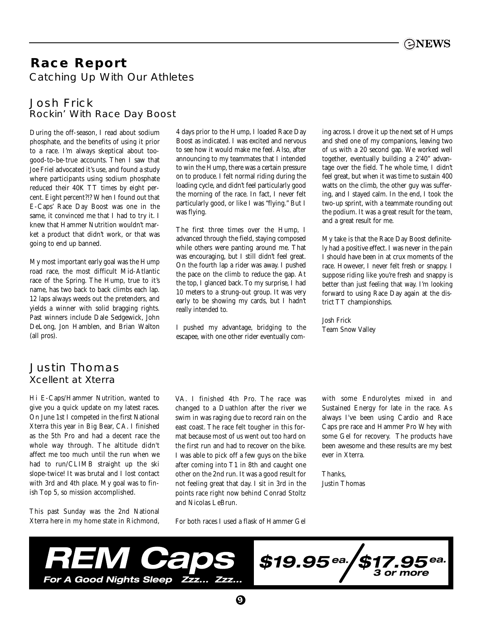# **Race Report** Catching Up With Our Athletes

## Josh Frick Rockin' With Race Day Boost

During the off-season, I read about sodium phosphate, and the benefits of using it prior to a race. I'm always skeptical about toogood-to-be-true accounts. Then I saw that Joe Friel advocated it's use, and found a study where participants using sodium phosphate reduced their 40K TT times by eight percent. Eight percent?!? When I found out that E-Caps' Race Day Boost was one in the same, it convinced me that I had to try it. I knew that Hammer Nutrition wouldn't market a product that didn't work, or that was going to end up banned.

My most important early goal was the Hump road race, the most difficult Mid-Atlantic race of the Spring. The Hump, true to it's name, has two back to back climbs each lap. 12 laps always weeds out the pretenders, and yields a winner with solid bragging rights. Past winners include Dale Sedgewick, John DeLong, Jon Hamblen, and Brian Walton (all pros).

## 4 days prior to the Hump, I loaded Race Day Boost as indicated. I was excited and nervous to see how it would make me feel. Also, after announcing to my teammates that I intended to win the Hump, there was a certain pressure on to produce. I felt normal riding during the loading cycle, and didn't feel particularly good the morning of the race. In fact, I never felt particularly good, or like I was "flying." But I was flying.

The first three times over the Hump, I advanced through the field, staying composed while others were panting around me. That was encouraging, but I still didn't feel great. On the fourth lap a rider was away. I pushed the pace on the climb to reduce the gap. At the top, I glanced back. To my surprise, I had 10 meters to a strung-out group. It was very early to be showing my cards, but I hadn't really intended to.

I pushed my advantage, bridging to the escapee, with one other rider eventually coming across. I drove it up the next set of Humps and shed one of my companions, leaving two of us with a 20 second gap. We worked well together, eventually building a 2'40" advantage over the field. The whole time, I didn't feel great, but when it was time to sustain 400 watts on the climb, the other guy was suffering, and I stayed calm. In the end, I took the two-up sprint, with a teammate rounding out the podium. It was a great result for the team, and a great result for me.

My take is that the Race Day Boost definitely had a positive effect. I was never in the pain I should have been in at crux moments of the race. However, I never felt fresh or snappy. I suppose riding like you're fresh and snappy is better than just feeling that way. I'm looking forward to using Race Day again at the district TT championships.

Josh Frick Team Snow Valley

## Justin Thomas Xcellent at Xterra

Hi E-Caps/Hammer Nutrition, wanted to give you a quick update on my latest races. On June 1st I competed in the first National Xterra this year in Big Bear, CA. I finished as the 5th Pro and had a decent race the whole way through. The altitude didn't affect me too much until the run when we had to run/CLIMB straight up the ski slope-twice! It was brutal and I lost contact with 3rd and 4th place. My goal was to finish Top 5, so mission accomplished.

This past Sunday was the 2nd National Xterra here in my home state in Richmond, VA. I finished 4th Pro. The race was changed to a Duathlon after the river we swim in was raging due to record rain on the east coast. The race felt tougher in this format because most of us went out too hard on the first run and had to recover on the bike. I was able to pick off a few guys on the bike after coming into T1 in 8th and caught one other on the 2nd run. It was a good result for not feeling great that day. I sit in 3rd in the points race right now behind Conrad Stoltz and Nicolas LeBrun.

For both races I used a flask of Hammer Gel

with some Endurolytes mixed in and Sustained Energy for late in the race. As always I've been using Cardio and Race Caps pre race and Hammer Pro Whey with some Gel for recovery. The products have been awesome and these results are my best ever in Xterra.

Thanks, Justin Thomas



**9**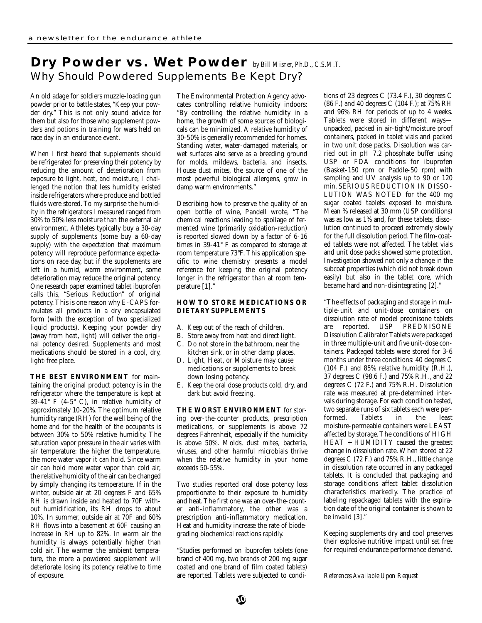# **Dry Powder vs. Wet Powder** *by Bill Misner, Ph.D., C.S.M.T.* Why Should Powdered Supplements Be Kept Dry?

An old adage for soldiers muzzle-loading gun powder prior to battle states, "Keep your powder dry." This is not only sound advice for them but also for those who supplement powders and potions in training for wars held on race day in an endurance event.

When I first heard that supplements should be refrigerated for preserving their potency by reducing the amount of deterioration from exposure to light, heat, and moisture, I challenged the notion that less humidity existed inside refrigerators where produce and bottled fluids were stored. To my surprise the humidity in the refrigerators I measured ranged from 30% to 50% less moisture than the external air environment. Athletes typically buy a 30-day supply of supplements (some buy a 60-day supply) with the expectation that maximum potency will reproduce performance expectations on race day, but if the supplements are left in a humid, warm environment, some deterioration may reduce the original potency. One research paper examined tablet ibuprofen calls this, "Serious Reduction" of original potency. This is one reason why E-CAPS formulates all products in a dry encapsulated form (with the exception of two specialized liquid products). Keeping your powder dry (away from heat, light) will deliver the original potency desired. Supplements and most medications should be stored in a cool, dry, light-free place.

**THE BEST ENVIRONMENT** for maintaining the original product potency is in the refrigerator where the temperature is kept at 39-41° F (4-5° C), in relative humidity of approximately 10-20%. The optimum relative humidity range (RH) for the well being of the home and for the health of the occupants is between 30% to 50% relative humidity. The saturation vapor pressure in the air varies with air temperature: the higher the temperature, the more water vapor it can hold. Since warm air can hold more water vapor than cold air, the relative humidity of the air can be changed by simply changing its temperature. If in the winter, outside air at 20 degrees F and 65% RH is drawn inside and heated to 70F without humidification, its RH drops to about 10%. In summer, outside air at 70F and 60% RH flows into a basement at 60F causing an increase in RH up to 82%. In warm air the humidity is always potentially higher than cold air. The warmer the ambient temperature, the more a powdered supplement will deteriorate losing its potency relative to time of exposure.

The Environmental Protection Agency advocates controlling relative humidity indoors: "By controlling the relative humidity in a home, the growth of some sources of biologicals can be minimized. A relative humidity of 30-50% is generally recommended for homes. Standing water, water-damaged materials, or wet surfaces also serve as a breeding ground for molds, mildews, bacteria, and insects. House dust mites, the source of one of the most powerful biological allergens, grow in damp warm environments."

Describing how to preserve the quality of an open bottle of wine, Pandell wrote, "The chemical reactions leading to spoilage of fermented wine (primarily oxidation-reduction) is reported slowed down by a factor of 6-16 times in 39-41° F as compared to storage at room temperature 73°F. This application specific to wine chemistry presents a model reference for keeping the original potency longer in the refrigerator than at room temperature [1]."

## **HOW TO STORE MEDICATIONS OR DIETARY SUPPLEMENTS**

- A. Keep out of the reach of children.
- B. Store away from heat and direct light.
- C. Do not store in the bathroom, near the kitchen sink, or in other damp places.
- D. Light, Heat, or Moisture may cause medications or supplements to break down losing potency.
- E. Keep the oral dose products cold, dry, and dark but avoid freezing.

**THE WORST ENVIRONMENT** for storing over-the-counter products, prescription medications, or supplements is above 72 degrees Fahrenheit, especially if the humidity is above 50%. Molds, dust mites, bacteria, viruses, and other harmful microbials thrive when the relative humidity in your home exceeds 50-55%.

Two studies reported oral dose potency loss proportionate to their exposure to humidity and heat. The first one was an over-the-counter anti-inflammatory, the other was a prescription anti-inflammatory medication. Heat and humidity increase the rate of biodegrading biochemical reactions rapidly.

"Studies performed on ibuprofen tablets (one brand of 400 mg, two brands of 200 mg sugar coated and one brand of film coated tablets) are reported. Tablets were subjected to conditions of 23 degrees C (73.4 F.), 30 degrees C (86 F.) and 40 degrees C (104 F.); at 75% RH and 96% RH for periods of up to 4 weeks. Tablets were stored in different ways unpacked, packed in air-tight/moisture proof containers, packed in tablet vials and packed in two unit dose packs. Dissolution was carried out in pH 7.2 phosphate buffer using USP or FDA conditions for ibuprofen (Basket-150 rpm or Paddle-50 rpm) with sampling and UV analysis up to 90 or 120 min. SERIOUS REDUCTION IN DISSO-LUTION WAS NOTED for the 400 mg sugar coated tablets exposed to moisture. Mean % released at 30 mm (USP conditions) was as low as 1% and, for these tablets, dissolution continued to proceed extremely slowly for the full dissolution period. The film-coated tablets were not affected. The tablet vials and unit dose packs showed some protection. Investigation showed not only a change in the subcoat properties (which did not break down easily) but also in the tablet core, which became hard and non-disintegrating [2]."

"The effects of packaging and storage in multiple-unit and unit-dose containers on dissolution rate of model prednisone tablets are reported. USP PREDNISONE Dissolution Calibrator Tablets were packaged in three multiple-unit and five unit-dose containers. Packaged tablets were stored for 3-6 months under three conditions: 40 degrees C (104 F.) and 85% relative humidity (R.H.), 37 degrees C (98.6 F.) and 75% R.H., and 22 degrees C (72 F.) and 75% R.H. Dissolution rate was measured at pre-determined intervals during storage. For each condition tested, two separate runs of six tablets each were performed. Tablets in the least moisture-permeable containers were LEAST affected by storage. The conditions of HIGH HEAT + HUMIDITY caused the greatest change in dissolution rate. When stored at 22 degrees C (72 F.) and 75% R.H., little change in dissolution rate occurred in any packaged tablets. It is concluded that packaging and storage conditions affect tablet dissolution characteristics markedly. The practice of labeling repackaged tablets with the expiration date of the original container is shown to be invalid [3]."

Keeping supplements dry and cool preserves their explosive nutritive impact until set free for required endurance performance demand.

*References Available Upon Request*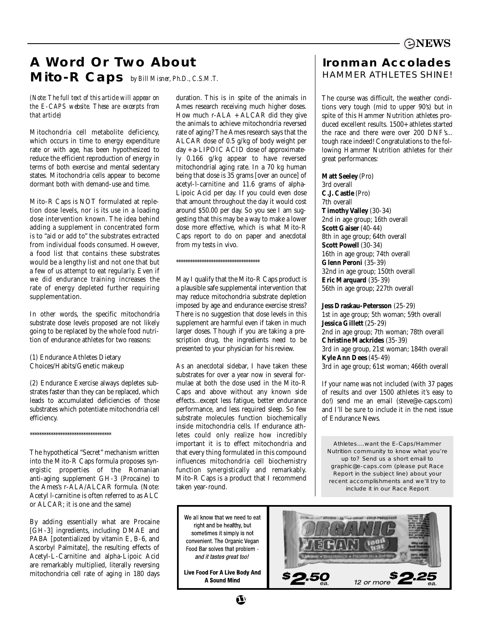# **A Word Or Two About Mito-R Caps** *by Bill Misner, Ph.D., C.S.M.T.*

*(Note: The full text of this article will appear on the E-CAPS website. These are excerpts from that article)*

Mitochondria cell metabolite deficiency, which occurs in time to energy expenditure rate or with age, has been hypothesized to reduce the efficient reproduction of energy in terms of both exercise and mental sedentary states. Mitochondria cells appear to become dormant both with demand-use and time.

Mito-R Caps is NOT formulated at repletion dose levels, nor is its use in a loading dose intervention known. The idea behind adding a supplement in concentrated form is to "aid or add to" the substrates extracted from individual foods consumed. However, a food list that contains these substrates would be a lengthy list and not one that but a few of us attempt to eat regularly. Even if we did endurance training increases the rate of energy depleted further requiring supplementation.

In other words, the specific mitochondria substrate dose levels proposed are not likely going to be replaced by the whole food nutrition of endurance athletes for two reasons:

(1) Endurance Athletes Dietary Choices/Habits/Genetic makeup

(2) Endurance Exercise always depletes substrates faster than they can be replaced, which leads to accumulated deficiencies of those substrates which potentiate mitochondria cell efficiency.

\*\*\*\*\*\*\*\*\*\*\*\*\*\*\*\*\*\*\*\*\*\*\*\*\*\*\*\*\*\*\*\*\*\*\*

The hypothetical "Secret" mechanism written into the Mito-R Caps formula proposes synergistic properties of the Romanian anti-aging supplement GH-3 (Procaine) to the Ames's r-ALA/ALCAR formula. (Note: Acetyl l-carnitine is often referred to as ALC or ALCAR; it is one and the same)

By adding essentially what are Procaine [GH-3] ingredients, including DMAE and PABA [potentialized by vitamin E, B-6, and Ascorbyl Palmitate], the resulting effects of Acetyl-L-Carnitine and alpha-Lipoic Acid are remarkably multiplied, literally reversing mitochondria cell rate of aging in 180 days duration. This is in spite of the animals in Ames research receiving much higher doses. How much r-ALA + ALCAR did they give the animals to achieve mitochondria reversed rate of aging? The Ames research says that the ALCAR dose of 0.5 g/kg of body weight per day + a-LIPOIC ACID dose of approximately 0.166 g/kg appear to have reversed mitochondrial aging rate. In a 70 kg human being that dose is 35 grams [over an ounce] of acetyl-l-carnitine and 11.6 grams of alpha-Lipoic Acid per day. If you could even dose that amount throughout the day it would cost around \$50.00 per day. So you see I am suggesting that this may be a way to make a lower dose more effective, which is what Mito-R Caps report to do on paper and anecdotal from my tests in vivo.

#### \*\*\*\*\*\*\*\*\*\*\*\*\*\*\*\*\*\*\*\*\*\*\*\*\*\*\*\*\*\*\*\*\*\*\*\*

May I qualify that the Mito-R Caps product is a plausible safe supplemental intervention that may reduce mitochondria substrate depletion imposed by age and endurance exercise stress? There is no suggestion that dose levels in this supplement are harmful even if taken in much larger doses. Though if you are taking a prescription drug, the ingredients need to be presented to your physician for his review.

As an anecdotal sidebar, I have taken these substrates for over a year now in several formulae at both the dose used in the Mito-R Caps and above without any known side effects...except less fatigue, better endurance performance, and less required sleep. So few substrate molecules function biochemically inside mitochondria cells. If endurance athletes could only realize how incredibly important it is to effect mitochondria and that every thing formulated in this compound influences mitochondria cell biochemistry function synergistically and remarkably. Mito-R Caps is a product that I recommend taken year-round.

## **Ironman Accolades** HAMMER ATHLETES SHINE!

The course was difficult, the weather conditions very tough (mid to upper 90's) but in spite of this Hammer Nutrition athletes produced excellent results. 1500+ athletes started the race and there were over 200 DNF's... tough race indeed! Congratulations to the following Hammer Nutrition athletes for their great performances:

## **Matt Seeley** (Pro)

3rd overall **C.J. Castle** (Pro) 7th overall **Timothy Valley** (30-34) 2nd in age group; 16th overall **Scott Gaiser** (40-44) 8th in age group; 64th overall **Scott Powell** (30-34) 16th in age group; 74th overall **Glenn Peroni** (35-39) 32nd in age group; 150th overall **Eric Marquard** (35-39) 56th in age group; 227th overall

**Jess Draskau-Petersson** (25-29)

1st in age group; 5th woman; 59th overall **Jessica Gillett** (25-29) 2nd in age group; 7th woman; 78th overall **Christine Mackrides** (35-39) 3rd in age group, 21st woman; 184th overall **Kyle Ann Dees** (45-49) 3rd in age group; 61st woman; 466th overall

If your name was not included (with 37 pages of results and over 1500 athletes it's easy to do!) send me an email (steve@e-caps.com) and I'll be sure to include it in the next issue of Endurance News.

Athletes....want the E-Caps/Hammer Nutrition community to know what you're up to? Send us a short email to graphic@e-caps.com *(please put Race Report in the subject line)* about your recent accomplishments and we'll try to include it in our Race Report

We all know that we need to eat right and be healthy, but sometimes it simply is not convenient. The Organic Vegan Food Bar solves that problem and it tastes great too!

Live Food For A Live Body And **A Sound Mind** 

**11**

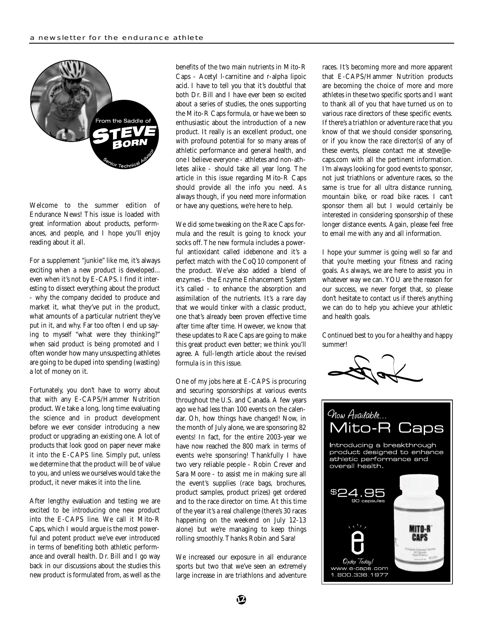

Welcome to the summer edition of Endurance News! This issue is loaded with great information about products, performances, and people, and I hope you'll enjoy reading about it all.

For a supplement "junkie" like me, it's always exciting when a new product is developed... even when it's not by E-CAPS. I find it interesting to dissect everything about the product - why the company decided to produce and market it, what they've put in the product, what amounts of a particular nutrient they've put in it, and why. Far too often I end up saying to myself "what were they thinking?" when said product is being promoted and I often wonder how many unsuspecting athletes are going to be duped into spending (wasting) a lot of money on it.

Fortunately, you don't have to worry about that with any E-CAPS/Hammer Nutrition product. We take a long, long time evaluating the science and in product development before we ever consider introducing a new product or upgrading an existing one. A lot of products that look good on paper never make it into the E-CAPS line. Simply put, unless we determine that the product will be of value to you, and unless we ourselves would take the product, it never makes it into the line.

After lengthy evaluation and testing we are excited to be introducing one new product into the E-CAPS line. We call it Mito-R Caps, which I would argue is the most powerful and potent product we've ever introduced in terms of benefiting both athletic performance and overall health. Dr. Bill and I go way back in our discussions about the studies this new product is formulated from, as well as the benefits of the two main nutrients in Mito-R Caps - Acetyl l-carnitine and r-alpha lipoic acid. I have to tell you that it's doubtful that both Dr. Bill and I have ever been so excited about a series of studies, the ones supporting the Mito-R Caps formula, or have we been so enthusiastic about the introduction of a new product. It really is an excellent product, one with profound potential for so many areas of athletic performance and general health, and one I believe everyone - athletes and non-athletes alike - should take all year long. The article in this issue regarding Mito-R Caps should provide all the info you need. As always though, if you need more information or have any questions, we're here to help.

We did some tweaking on the Race Caps formula and the result is going to knock your socks off. The new formula includes a powerful antioxidant called idebenone and it's a perfect match with the CoQ10 component of the product. We've also added a blend of enzymes - the Enzyme Enhancement System it's called - to enhance the absorption and assimilation of the nutrients. It's a rare day that we would tinker with a classic product, one that's already been proven effective time after time after time. However, we know that these updates to Race Caps are going to make this great product even better; we think you'll agree. A full-length article about the revised formula is in this issue.

One of my jobs here at E-CAPS is procuring and securing sponsorships at various events throughout the U.S. and Canada. A few years ago we had less than 100 events on the calendar. Oh, how things have changed! Now, in the month of July alone, we are sponsoring 82 events! In fact, for the entire 2003-year we have now reached the 800 mark in terms of events we're sponsoring! Thankfully I have two very reliable people - Robin Crever and Sara Moore - to assist me in making sure all the event's supplies (race bags, brochures, product samples, product prizes) get ordered and to the race director on time. At this time of the year it's a real challenge (there's 30 races happening on the weekend on July 12-13 alone) but we're managing to keep things rolling smoothly. Thanks Robin and Sara!

We increased our exposure in all endurance sports but two that we've seen an extremely large increase in are triathlons and adventure races. It's becoming more and more apparent that E-CAPS/Hammer Nutrition products are becoming the choice of more and more athletes in these two specific sports and I want to thank all of you that have turned us on to various race directors of these specific events. If there's a triathlon or adventure race that you know of that we should consider sponsoring, or if you know the race director(s) of any of these events, please contact me at steve@ecaps.com with all the pertinent information. I'm always looking for good events to sponsor, not just triathlons or adventure races, so the same is true for all ultra distance running, mountain bike, or road bike races. I can't sponsor them all but I would certainly be interested in considering sponsorship of these longer distance events. Again, please feel free to email me with any and all information.

I hope your summer is going well so far and that you're meeting your fitness and racing goals. As always, we are here to assist you in whatever way we can. YOU are the reason for our success, we never forget that, so please don't hesitate to contact us if there's anything we can do to help you achieve your athletic and health goals.

Continued best to you for a healthy and happy summer!



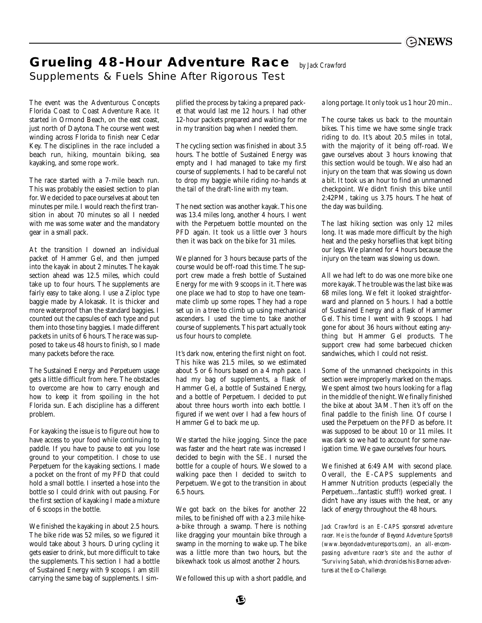# **Grueling 48-Hour Adventure Race** *by Jack Crawford*

Supplements & Fuels Shine After Rigorous Test

The event was the Adventurous Concepts Florida Coast to Coast Adventure Race. It started in Ormond Beach, on the east coast, just north of Daytona. The course went west winding across Florida to finish near Cedar Key. The disciplines in the race included a beach run, hiking, mountain biking, sea kayaking, and some rope work.

The race started with a 7-mile beach run. This was probably the easiest section to plan for. We decided to pace ourselves at about ten minutes per mile. I would reach the first transition in about 70 minutes so all I needed with me was some water and the mandatory gear in a small pack.

At the transition I downed an individual packet of Hammer Gel, and then jumped into the kayak in about 2 minutes. The kayak section ahead was 12.5 miles, which could take up to four hours. The supplements are fairly easy to take along. I use a Ziploc type baggie made by Alokasak. It is thicker and more waterproof than the standard baggies. I counted out the capsules of each type and put them into those tiny baggies. I made different packets in units of 6 hours. The race was supposed to take us 48 hours to finish, so I made many packets before the race.

The Sustained Energy and Perpetuem usage gets a little difficult from here. The obstacles to overcome are how to carry enough and how to keep it from spoiling in the hot Florida sun. Each discipline has a different problem.

For kayaking the issue is to figure out how to have access to your food while continuing to paddle. If you have to pause to eat you lose ground to your competition. I chose to use Perpetuem for the kayaking sections. I made a pocket on the front of my PFD that could hold a small bottle. I inserted a hose into the bottle so I could drink with out pausing. For the first section of kayaking I made a mixture of 6 scoops in the bottle.

We finished the kayaking in about 2.5 hours. The bike ride was 52 miles, so we figured it would take about 3 hours. During cycling it gets easier to drink, but more difficult to take the supplements. This section I had a bottle of Sustained Energy with 9 scoops. I am still carrying the same bag of supplements. I simplified the process by taking a prepared packet that would last me 12 hours. I had other 12-hour packets prepared and waiting for me in my transition bag when I needed them.

The cycling section was finished in about 3.5 hours. The bottle of Sustained Energy was empty and I had managed to take my first course of supplements. I had to be careful not to drop my baggie while riding no-hands at the tail of the draft-line with my team.

The next section was another kayak. This one was 13.4 miles long, another 4 hours. I went with the Perpetuem bottle mounted on the PFD again. It took us a little over 3 hours then it was back on the bike for 31 miles.

We planned for 3 hours because parts of the course would be off-road this time. The support crew made a fresh bottle of Sustained Energy for me with 9 scoops in it. There was one place we had to stop to have one teammate climb up some ropes. They had a rope set up in a tree to climb up using mechanical ascenders. I used the time to take another course of supplements. This part actually took us four hours to complete.

It's dark now, entering the first night on foot. This hike was 21.5 miles, so we estimated about 5 or 6 hours based on a 4 mph pace. I had my bag of supplements, a flask of Hammer Gel, a bottle of Sustained Energy, and a bottle of Perpetuem. I decided to put about three hours worth into each bottle. I figured if we went over I had a few hours of Hammer Gel to back me up.

We started the hike jogging. Since the pace was faster and the heart rate was increased I decided to begin with the SE. I nursed the bottle for a couple of hours. We slowed to a walking pace then I decided to switch to Perpetuem. We got to the transition in about 6.5 hours.

We got back on the bikes for another 22 miles, to be finished off with a 2.3 mile hikea-bike through a swamp. There is nothing like dragging your mountain bike through a swamp in the morning to wake up. The bike was a little more than two hours, but the bikewhack took us almost another 2 hours.

We followed this up with a short paddle, and

a long portage. It only took us 1 hour 20 min..

The course takes us back to the mountain bikes. This time we have some single track riding to do. It's about 20.5 miles in total, with the majority of it being off-road. We gave ourselves about 3 hours knowing that this section would be tough. We also had an injury on the team that was slowing us down a bit. It took us an hour to find an unmanned checkpoint. We didn't finish this bike until 2:42PM, taking us 3.75 hours. The heat of the day was building.

The last hiking section was only 12 miles long. It was made more difficult by the high heat and the pesky horseflies that kept biting our legs. We planned for 4 hours because the injury on the team was slowing us down.

All we had left to do was one more bike one more kayak. The trouble was the last bike was 68 miles long. We felt it looked straightforward and planned on 5 hours. I had a bottle of Sustained Energy and a flask of Hammer Gel. This time I went with 9 scoops. I had gone for about 36 hours without eating anything but Hammer Gel products. The support crew had some barbecued chicken sandwiches, which I could not resist.

Some of the unmanned checkpoints in this section were improperly marked on the maps. We spent almost two hours looking for a flag in the middle of the night. We finally finished the bike at about 3AM. Then it's off on the final paddle to the finish line. Of course I used the Perpetuem on the PFD as before. It was supposed to be about 10 or 11 miles. It was dark so we had to account for some navigation time. We gave ourselves four hours.

We finished at 6:49 AM with second place. Overall, the E-CAPS supplements and Hammer Nutrition products (especially the Perpetuem...fantastic stuff!) worked great. I didn't have any issues with the heat, or any lack of energy throughout the 48 hours.

*Jack Crawford is an E-CAPS sponsored adventure racer. He is the founder of Beyond Adventure Sports® (www.beyondadventuresports.com), an all-encompassing adventure racer's site and the author of "Surviving Sabah, which chronicles his Borneo adventures at the Eco-Challenge.*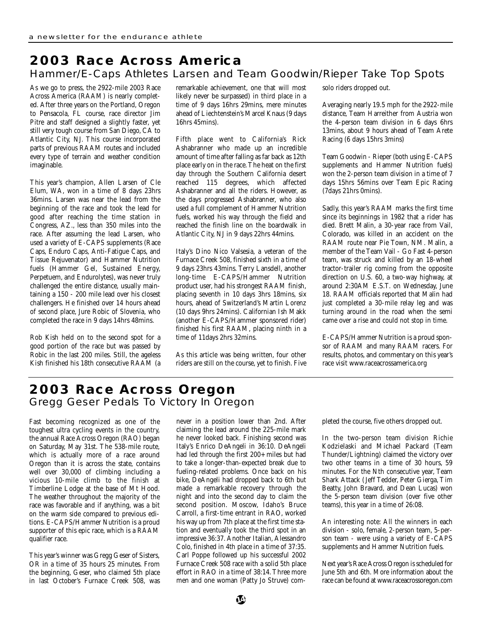## **2003 Race Across America** Hammer/E-Caps Athletes Larsen and Team Goodwin/Rieper Take Top Spots

As we go to press, the 2922-mile 2003 Race Across America (RAAM) is nearly completed. After three years on the Portland, Oregon to Pensacola, FL course, race director Jim Pitre and staff designed a slightly faster, yet still very tough course from San Diego, CA to Atlantic City, NJ. This course incorporated parts of previous RAAM routes and included every type of terrain and weather condition imaginable.

This year's champion, Allen Larsen of Cle Elum, WA, won in a time of 8 days 23hrs 36mins. Larsen was near the lead from the beginning of the race and took the lead for good after reaching the time station in Congress, AZ., less than 350 miles into the race. After assuming the lead Larsen, who used a variety of E-CAPS supplements (Race Caps, Enduro Caps, Anti-Fatigue Caps, and Tissue Rejuvenator) and Hammer Nutrition fuels (Hammer Gel, Sustained Energy, Perpetuem, and Endurolytes), was never truly challenged the entire distance, usually maintaining a 150 - 200 mile lead over his closest challengers. He finished over 14 hours ahead of second place, Jure Robic of Slovenia, who completed the race in 9 days 14hrs 48mins.

Rob Kish held on to the second spot for a good portion of the race but was passed by Robic in the last 200 miles. Still, the ageless Kish finished his 18th consecutive RAAM (a

remarkable achievement, one that will most likely never be surpassed) in third place in a time of 9 days 16hrs 29mins, mere minutes ahead of Liechtenstein's Marcel Knaus (9 days 16hrs 45mins).

Fifth place went to California's Rick Ashabranner who made up an incredible amount of time after falling as far back as 12th place early on in the race. The heat on the first day through the Southern California desert reached 115 degrees, which affected Ashabranner and all the riders. However, as the days progressed Ashabranner, who also used a full complement of Hammer Nutrition fuels, worked his way through the field and reached the finish line on the boardwalk in Atlantic City, NJ in 9 days 22hrs 44mins.

Italy's Dino Nico Valsesia, a veteran of the Furnace Creek 508, finished sixth in a time of 9 days 23hrs 43mins. Terry Lansdell, another long-time E-CAPS/Hammer Nutrition product user, had his strongest RAAM finish, placing seventh in 10 days 3hrs 18mins, six hours, ahead of Switzerland's Martin Lorenz (10 days 9hrs 24mins). Californian Ish Makk (another E-CAPS/Hammer sponsored rider) finished his first RAAM, placing ninth in a time of 11days 2hrs 32mins.

As this article was being written, four other riders are still on the course, yet to finish. Five solo riders dropped out.

Averaging nearly 19.5 mph for the 2922-mile distance, Team Harreither from Austria won the 4-person team division in 6 days 6hrs 13mins, about 9 hours ahead of Team Arete Racing (6 days 15hrs 3mins)

Team Goodwin - Rieper (both using E-CAPS supplements and Hammer Nutrition fuels) won the 2-person team division in a time of 7 days 15hrs 56mins over Team Epic Racing (7days 21hrs 0mins).

Sadly, this year's RAAM marks the first time since its beginnings in 1982 that a rider has died. Brett Malin, a 30-year race from Vail, Colorado, was killed in an accident on the RAAM route near Pie Town, NM. Malin, a member of the Team Vail - Go Fast 4-person team, was struck and killed by an 18-wheel tractor-trailer rig coming from the opposite direction on U.S. 60, a two-way highway, at around 2:30AM E.S.T. on Wednesday, June 18. RAAM officials reported that Malin had just completed a 30-mile relay leg and was turning around in the road when the semi came over a rise and could not stop in time.

E-CAPS/Hammer Nutrition is a proud sponsor of RAAM and many RAAM racers. For results, photos, and commentary on this year's race visit www.raceacrossamerica.org

# **2003 Race Across Oregon** Gregg Geser Pedals To Victory In Oregon

Fast becoming recognized as one of the toughest ultra cycling events in the country, the annual Race Across Oregon (RAO) began on Saturday, May 31st. The 538-mile route, which is actually more of a race around Oregon than it is across the state, contains well over 30,000 of climbing including a vicious 10-mile climb to the finish at Timberline Lodge at the base of Mt Hood. The weather throughout the majority of the race was favorable and if anything, was a bit on the warm side compared to previous editions. E-CAPS/Hammer Nutrition is a proud supporter of this epic race, which is a RAAM qualifier race.

This year's winner was Gregg Geser of Sisters, OR in a time of 35 hours 25 minutes. From the beginning, Geser, who claimed 5th place in last October's Furnace Creek 508, was

never in a position lower than 2nd. After claiming the lead around the 225-mile mark he never looked back. Finishing second was Italy's Enrico DeAngeli in 36:10. DeAngeli had led through the first 200+ miles but had to take a longer-than-expected break due to fueling-related problems. Once back on his bike, DeAngeli had dropped back to 6th but made a remarkable recovery through the night and into the second day to claim the second position. Moscow, Idaho's Bruce Carroll, a first-time entrant in RAO, worked his way up from 7th place at the first time station and eventually took the third spot in an impressive 36:37. Another Italian, Alessandro Colo, finished in 4th place in a time of 37:35. Carl Poppe followed up his successful 2002 Furnace Creek 508 race with a solid 5th place effort in RAO in a time of 38:14. Three more men and one woman (Patty Jo Struve) completed the course, five others dropped out.

In the two-person team division Richie Kodzielaski and Michael Packard (Team Thunder/Lightning) claimed the victory over two other teams in a time of 30 hours, 59 minutes. For the Nth consecutive year, Team Shark Attack ( Jeff Tedder, Peter Gierga, Tim Beatty, John Bravard, and Dean Lucas) won the 5-person team division (over five other teams), this year in a time of 26:08.

An interesting note: All the winners in each division - solo, female, 2-person team, 5-person team - were using a variety of E-CAPS supplements and Hammer Nutrition fuels.

Next year's Race Across Oregon is scheduled for June 5th and 6th. More information about the race can be found at www.raceacrossoregon.com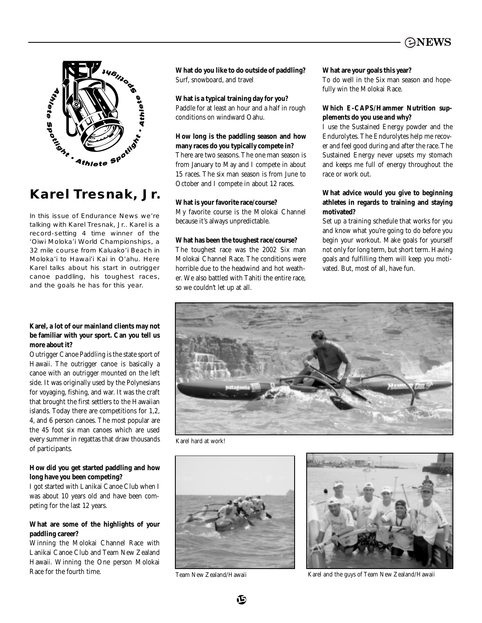



# **Karel Tresnak, Jr.**

In this issue of Endurance News we're talking with Karel Tresnak, Jr.. Karel is a record-setting 4 time winner of the 'Oiwi Moloka'i World Championships, a 32 mile course from Kaluako'i Beach in Moloka'i to Hawai'i Kai in O'ahu. Here Karel talks about his start in outrigger canoe paddling, his toughest races, and the goals he has for this year.

## **Karel, a lot of our mainland clients may not be familiar with your sport. Can you tell us more about it?**

Outrigger Canoe Paddling is the state sport of Hawaii. The outrigger canoe is basically a canoe with an outrigger mounted on the left side. It was originally used by the Polynesians for voyaging, fishing, and war. It was the craft that brought the first settlers to the Hawaiian islands. Today there are competitions for 1,2, 4, and 6 person canoes. The most popular are the 45 foot six man canoes which are used every summer in regattas that draw thousands of participants.

## **How did you get started paddling and how long have you been competing?**

I got started with Lanikai Canoe Club when I was about 10 years old and have been competing for the last 12 years.

## **What are some of the highlights of your paddling career?**

Winning the Molokai Channel Race with Lanikai Canoe Club and Team New Zealand Hawaii. Winning the One person Molokai Race for the fourth time.

**What do you like to do outside of paddling?** Surf, snowboard, and travel

## **What is a typical training day for you?**

Paddle for at least an hour and a half in rough conditions on windward Oahu.

## **How long is the paddling season and how many races do you typically compete in?**

There are two seasons. The one man season is from January to May and I compete in about 15 races. The six man season is from June to October and I compete in about 12 races.

## **What is your favorite race/course?**

My favorite course is the Molokai Channel because it's always unpredictable.

## **What has been the toughest race/course?**

The toughest race was the 2002 Six man Molokai Channel Race. The conditions were horrible due to the headwind and hot weather. We also battled with Tahiti the entire race, so we couldn't let up at all.

## **What are your goals this year?**

To do well in the Six man season and hopefully win the Molokai Race.

## **Which E-CAPS/Hammer Nutrition supplements do you use and why?**

I use the Sustained Energy powder and the Endurolytes. The Endurolytes help me recover and feel good during and after the race. The Sustained Energy never upsets my stomach and keeps me full of energy throughout the race or work out.

## **What advice would you give to beginning athletes in regards to training and staying motivated?**

Set up a training schedule that works for you and know what you're going to do before you begin your workout. Make goals for yourself not only for long term, but short term. Having goals and fulfilling them will keep you motivated. But, most of all, have fun.



Karel hard at work!





Team New Zealand/Hawaii Karel and the guys of Team New Zealand/Hawaii